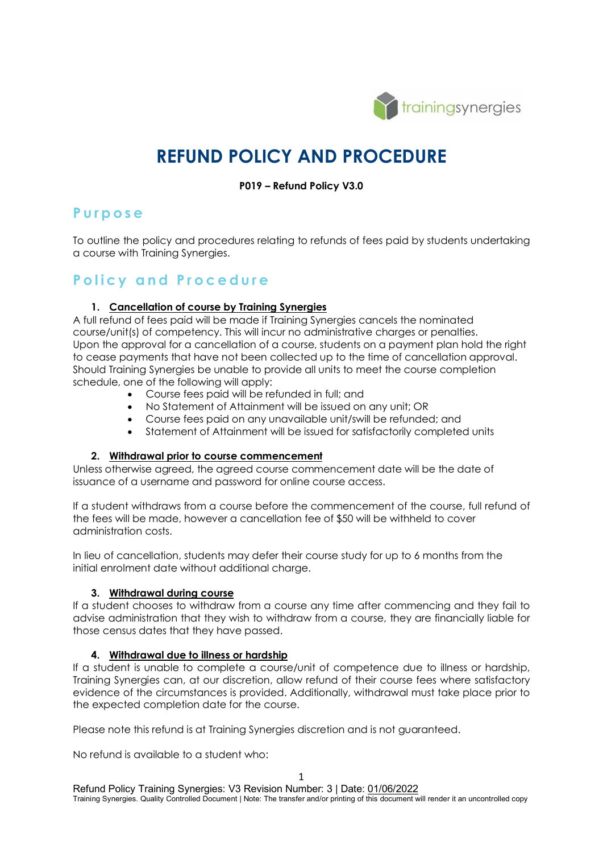

# **REFUND POLICY AND PROCEDURE**

#### **P019 – Refund Policy V3.0**

# **Purpose**

To outline the policy and procedures relating to refunds of fees paid by students undertaking a course with Training Synergies.

# **Policy and Procedure**

# **1. Cancellation of course by Training Synergies**

A full refund of fees paid will be made if Training Synergies cancels the nominated course/unit(s) of competency. This will incur no administrative charges or penalties. Upon the approval for a cancellation of a course, students on a payment plan hold the right to cease payments that have not been collected up to the time of cancellation approval. Should Training Synergies be unable to provide all units to meet the course completion schedule, one of the following will apply:

- Course fees paid will be refunded in full; and
- No Statement of Attainment will be issued on any unit; OR
- Course fees paid on any unavailable unit/swill be refunded; and
- Statement of Attainment will be issued for satisfactorily completed units

## **2. Withdrawal prior to course commencement**

Unless otherwise agreed, the agreed course commencement date will be the date of issuance of a username and password for online course access.

If a student withdraws from a course before the commencement of the course, full refund of the fees will be made, however a cancellation fee of \$50 will be withheld to cover administration costs.

In lieu of cancellation, students may defer their course study for up to 6 months from the initial enrolment date without additional charge.

## **3. Withdrawal during course**

If a student chooses to withdraw from a course any time after commencing and they fail to advise administration that they wish to withdraw from a course, they are financially liable for those census dates that they have passed.

## **4. Withdrawal due to illness or hardship**

If a student is unable to complete a course/unit of competence due to illness or hardship, Training Synergies can, at our discretion, allow refund of their course fees where satisfactory evidence of the circumstances is provided. Additionally, withdrawal must take place prior to the expected completion date for the course.

Please note this refund is at Training Synergies discretion and is not guaranteed.

No refund is available to a student who: